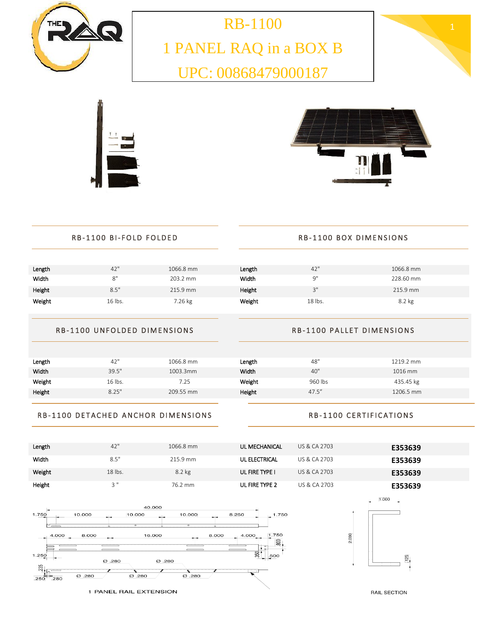





| Length | 42"       | 1066.8 mm | <b>UL MECHANICAL</b> | US & CA 2703 | E353639 |
|--------|-----------|-----------|----------------------|--------------|---------|
| Width  | 8.5"      | 215.9 mm  | UL ELECTRICAL        | US & CA 2703 | E353639 |
| Weight | $18$ lbs. | $8.2$ kg  | UL FIRE TYPE I       | US & CA 2703 | E353639 |
| Height | $2$ "     | 76.2 mm   | UL FIRE TYPE 2       | US & CA 2703 | E353639 |

### RB-1100 DETACHED ANCHOR DIMENSIONS

## RB-1100 CERTIFICATIONS

| Length | 42"     | 1066.8 mm | Length | 48"     | 1219.2 mm |
|--------|---------|-----------|--------|---------|-----------|
| Width  | 39.5"   | 1003.3mm  | Width  | 40"     | 1016 mm   |
| Weight | 16 lbs. | 7.25      | Weight | 960 lbs | 435.45 kg |
| Height | 8.25"   | 209.55 mm | Height | 47.5''  | 1206.5 mm |
|        |         |           |        |         |           |

#### RB-1100 UNFOLDED DIMENSIONS

### RB-1100 PALLET DIMENSIONS

| Length | 42'     | 1066.8 mm | Length | 42"                     | 1066.8 mm |  |
|--------|---------|-----------|--------|-------------------------|-----------|--|
| Width  | o"<br>Õ | 203.2 mm  | Width  | <b>Q"</b>               | 228.60 mm |  |
| Height | 8.5"    | 215.9 mm  | Height | $2^{\prime\prime}$<br>J | 215.9 mm  |  |
| Weight | 16 lbs. | 7.26 kg   | Weight | 18 lbs.                 | 8.2 kg    |  |
|        |         |           |        |                         |           |  |

UPC: 00868479000187

| Length | 42"  | 1066.8 mm | Length | 42"                | 1066.8 mm |
|--------|------|-----------|--------|--------------------|-----------|
| Width  |      | 203.2 mm  | Width  | <b>Q"</b>          | 228.60 mm |
| Height | 8.5" | 215.9 mm  | Height | $2^{\prime\prime}$ | 215.9 mm  |

| <b>RB-1100 BI-FOLD FOLDED</b> |  |
|-------------------------------|--|
|                               |  |

# RB-1100 BOX DIMENSIONS

| $\mathbf{r}$ | ø |
|--------------|---|
|              | ä |
|              |   |





ů

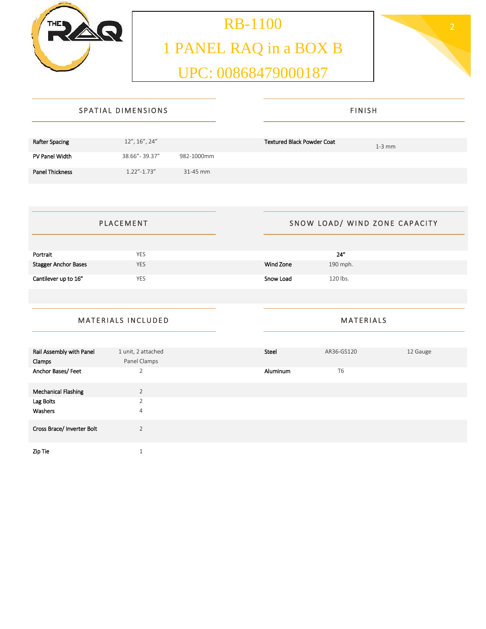

# **RB-1100** 2 1 PANEL RAQ in a BOX B UPC: 00868479000187



|                        | SPATIAL DIMENSIONS            | <b>FINISH</b>                                 |  |
|------------------------|-------------------------------|-----------------------------------------------|--|
|                        |                               |                                               |  |
| Rafter Spacing         | 12", 16", 24"                 | <b>Textured Black Powder Coat</b><br>$1-3$ mm |  |
| PV Panel Width         | 38.66" - 39.37"<br>982-1000mm |                                               |  |
| <b>Panel Thickness</b> | $1.22'' - 1.73''$<br>31-45 mm |                                               |  |

| <b>PLACEMENT</b>            |            | SNOW LOAD/ WIND ZONE CAPACITY |          |
|-----------------------------|------------|-------------------------------|----------|
|                             |            |                               |          |
| Portrait                    | <b>YES</b> |                               | 24"      |
| <b>Stagger Anchor Bases</b> | <b>YES</b> | Wind Zone                     | 190 mph. |
| Cantilever up to 16"        | <b>YES</b> | Snow Load                     | 120 lbs. |

# MATERIALS INCLUDED

**MATERIALS** 

| Rail Assembly with Panel   | 1 unit, 2 attached | Steel    | AR36-GS120     | 12 Gauge |
|----------------------------|--------------------|----------|----------------|----------|
| Clamps                     | Panel Clamps       |          |                |          |
| Anchor Bases/Feet          | $\overline{2}$     | Aluminum | T <sub>6</sub> |          |
| <b>Mechanical Flashing</b> | $\overline{2}$     |          |                |          |
| Lag Bolts                  | $\overline{2}$     |          |                |          |
| Washers                    | $\overline{4}$     |          |                |          |
| Cross Brace/ Inverter Bolt | $\overline{2}$     |          |                |          |
| Zip Tie                    |                    |          |                |          |